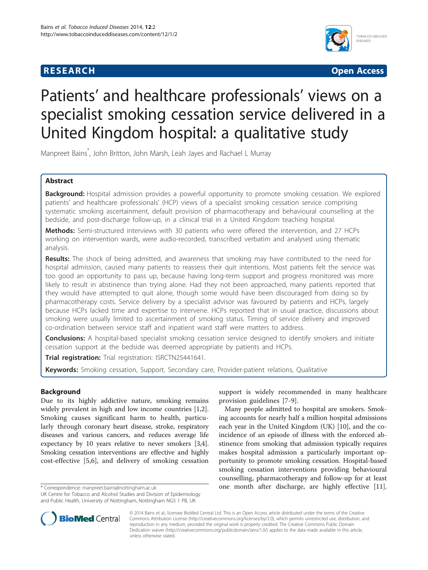# **RESEARCH RESEARCH** *CHECK CHECK CHECK CHECK CHECK CHECK CHECK CHECK CHECK CHECK CHECK CHECK CHECK CHECK CHECK CHECK CHECK CHECK CHECK CHECK CHECK CHECK CHECK CHECK CHECK CHECK CHECK CHECK CHECK CHECK CHECK CHECK CHECK*



# Patients' and healthcare professionals' views on a specialist smoking cessation service delivered in a United Kingdom hospital: a qualitative study

Manpreet Bains\* , John Britton, John Marsh, Leah Jayes and Rachael L Murray

# Abstract

Background: Hospital admission provides a powerful opportunity to promote smoking cessation. We explored patients' and healthcare professionals' (HCP) views of a specialist smoking cessation service comprising systematic smoking ascertainment, default provision of pharmacotherapy and behavioural counselling at the bedside, and post-discharge follow-up, in a clinical trial in a United Kingdom teaching hospital.

Methods: Semi-structured interviews with 30 patients who were offered the intervention, and 27 HCPs working on intervention wards, were audio-recorded, transcribed verbatim and analysed using thematic analysis.

Results: The shock of being admitted, and awareness that smoking may have contributed to the need for hospital admission, caused many patients to reassess their quit intentions. Most patients felt the service was too good an opportunity to pass up, because having long-term support and progress monitored was more likely to result in abstinence than trying alone. Had they not been approached, many patients reported that they would have attempted to quit alone, though some would have been discouraged from doing so by pharmacotherapy costs. Service delivery by a specialist advisor was favoured by patients and HCPs, largely because HCPs lacked time and expertise to intervene. HCPs reported that in usual practice, discussions about smoking were usually limited to ascertainment of smoking status. Timing of service delivery and improved co-ordination between service staff and inpatient ward staff were matters to address.

**Conclusions:** A hospital-based specialist smoking cessation service designed to identify smokers and initiate cessation support at the bedside was deemed appropriate by patients and HCPs.

Trial registration: Trial registration: [ISRCTN25441641.](http://www.controlled-trials.com/ISRCTN25441641)

**Keywords:** Smoking cessation, Support, Secondary care, Provider-patient relations, Qualitative

# Background

Due to its highly addictive nature, smoking remains widely prevalent in high and low income countries [\[1,2](#page-7-0)]. Smoking causes significant harm to health, particularly through coronary heart disease, stroke, respiratory diseases and various cancers, and reduces average life expectancy by 10 years relative to never smokers [[3](#page-7-0),[4](#page-7-0)]. Smoking cessation interventions are effective and highly cost-effective [[5,6\]](#page-7-0), and delivery of smoking cessation

support is widely recommended in many healthcare provision guidelines [\[7](#page-7-0)-[9](#page-7-0)].

Many people admitted to hospital are smokers. Smoking accounts for nearly half a million hospital admissions each year in the United Kingdom (UK) [[10](#page-7-0)], and the coincidence of an episode of illness with the enforced abstinence from smoking that admission typically requires makes hospital admission a particularly important opportunity to promote smoking cessation. Hospital-based smoking cessation interventions providing behavioural counselling, pharmacotherapy and follow-up for at least \* Correspondence: [manpreet.bains@nottingham.ac.uk](mailto:manpreet.bains@nottingham.ac.uk) one month after discharge, are highly effective [\[11](#page-7-0)].



© 2014 Bains et al.; licensee BioMed Central Ltd. This is an Open Access article distributed under the terms of the Creative Commons Attribution License [\(http://creativecommons.org/licenses/by/2.0\)](http://creativecommons.org/licenses/by/2.0), which permits unrestricted use, distribution, and reproduction in any medium, provided the original work is properly credited. The Creative Commons Public Domain Dedication waiver [\(http://creativecommons.org/publicdomain/zero/1.0/](http://creativecommons.org/publicdomain/zero/1.0/)) applies to the data made available in this article, unless otherwise stated.

UK Centre for Tobacco and Alcohol Studies and Division of Epidemiology and Public Health, University of Nottingham, Nottingham NG5 1 PB, UK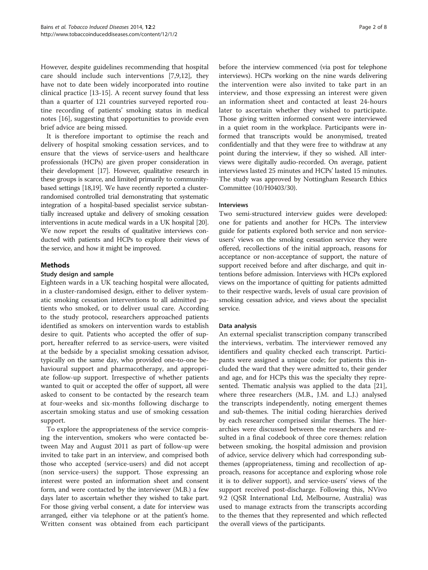However, despite guidelines recommending that hospital care should include such interventions [[7,9,12\]](#page-7-0), they have not to date been widely incorporated into routine clinical practice [[13-15](#page-7-0)]. A recent survey found that less than a quarter of 121 countries surveyed reported routine recording of patients' smoking status in medical notes [[16\]](#page-7-0), suggesting that opportunities to provide even brief advice are being missed.

It is therefore important to optimise the reach and delivery of hospital smoking cessation services, and to ensure that the views of service-users and healthcare professionals (HCPs) are given proper consideration in their development [[17](#page-7-0)]. However, qualitative research in these groups is scarce, and limited primarily to communitybased settings [\[18,19](#page-7-0)]. We have recently reported a clusterrandomised controlled trial demonstrating that systematic integration of a hospital-based specialist service substantially increased uptake and delivery of smoking cessation interventions in acute medical wards in a UK hospital [\[20](#page-7-0)]. We now report the results of qualitative interviews conducted with patients and HCPs to explore their views of the service, and how it might be improved.

# Methods

## Study design and sample

Eighteen wards in a UK teaching hospital were allocated, in a cluster-randomised design, either to deliver systematic smoking cessation interventions to all admitted patients who smoked, or to deliver usual care. According to the study protocol, researchers approached patients identified as smokers on intervention wards to establish desire to quit. Patients who accepted the offer of support, hereafter referred to as service-users, were visited at the bedside by a specialist smoking cessation advisor, typically on the same day, who provided one-to-one behavioural support and pharmacotherapy, and appropriate follow-up support. Irrespective of whether patients wanted to quit or accepted the offer of support, all were asked to consent to be contacted by the research team at four-weeks and six-months following discharge to ascertain smoking status and use of smoking cessation support.

To explore the appropriateness of the service comprising the intervention, smokers who were contacted between May and August 2011 as part of follow-up were invited to take part in an interview, and comprised both those who accepted (service-users) and did not accept (non service-users) the support. Those expressing an interest were posted an information sheet and consent form, and were contacted by the interviewer (M.B.) a few days later to ascertain whether they wished to take part. For those giving verbal consent, a date for interview was arranged, either via telephone or at the patient's home. Written consent was obtained from each participant

before the interview commenced (via post for telephone interviews). HCPs working on the nine wards delivering the intervention were also invited to take part in an interview, and those expressing an interest were given an information sheet and contacted at least 24-hours later to ascertain whether they wished to participate. Those giving written informed consent were interviewed in a quiet room in the workplace. Participants were informed that transcripts would be anonymised, treated confidentially and that they were free to withdraw at any point during the interview, if they so wished. All interviews were digitally audio-recorded. On average, patient interviews lasted 25 minutes and HCPs' lasted 15 minutes. The study was approved by Nottingham Research Ethics Committee (10/H0403/30).

#### Interviews

Two semi-structured interview guides were developed: one for patients and another for HCPs. The interview guide for patients explored both service and non serviceusers' views on the smoking cessation service they were offered, recollections of the initial approach, reasons for acceptance or non-acceptance of support, the nature of support received before and after discharge, and quit intentions before admission. Interviews with HCPs explored views on the importance of quitting for patients admitted to their respective wards, levels of usual care provision of smoking cessation advice, and views about the specialist service.

#### Data analysis

An external specialist transcription company transcribed the interviews, verbatim. The interviewer removed any identifiers and quality checked each transcript. Participants were assigned a unique code; for patients this included the ward that they were admitted to, their gender and age, and for HCPs this was the specialty they represented. Thematic analysis was applied to the data [\[21](#page-7-0)], where three researchers (M.B., J.M. and L.J.) analysed the transcripts independently, noting emergent themes and sub-themes. The initial coding hierarchies derived by each researcher comprised similar themes. The hierarchies were discussed between the researchers and resulted in a final codebook of three core themes: relation between smoking, the hospital admission and provision of advice, service delivery which had corresponding subthemes (appropriateness, timing and recollection of approach, reasons for acceptance and exploring whose role it is to deliver support), and service-users' views of the support received post-discharge. Following this, NVivo 9.2 (QSR International Ltd, Melbourne, Australia) was used to manage extracts from the transcripts according to the themes that they represented and which reflected the overall views of the participants.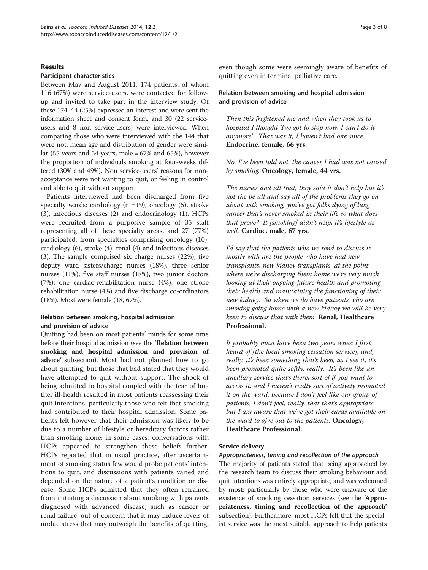#### Results

#### Participant characteristics

Between May and August 2011, 174 patients, of whom 116 (67%) were service-users, were contacted for followup and invited to take part in the interview study. Of these 174, 44 (25%) expressed an interest and were sent the information sheet and consent form, and 30 (22 serviceusers and 8 non service-users) were interviewed. When comparing those who were interviewed with the 144 that were not, mean age and distribution of gender were similar  $(55 \text{ years}$  and  $54 \text{ years}$ , male  $= 67\%$  and  $65\%$ ), however the proportion of individuals smoking at four-weeks differed (30% and 49%). Non service-users' reasons for nonacceptance were not wanting to quit, or feeling in control and able to quit without support.

Patients interviewed had been discharged from five specialty wards: cardiology  $(n = 19)$ , oncology  $(5)$ , stroke (3), infectious diseases (2) and endocrinology (1). HCPs were recruited from a purposive sample of 35 staff representing all of these specialty areas, and 27 (77%) participated, from specialties comprising oncology (10), cardiology (6), stroke (4), renal (4) and infectious diseases (3). The sample comprised six charge nurses (22%), five deputy ward sisters/charge nurses (18%), three senior nurses (11%), five staff nurses (18%), two junior doctors (7%), one cardiac-rehabilitation nurse (4%), one stroke rehabilitation nurse (4%) and five discharge co-ordinators (18%). Most were female (18, 67%).

#### Relation between smoking, hospital admission and provision of advice

Quitting had been on most patients' minds for some time before their hospital admission (see the 'Relation between smoking and hospital admission and provision of advice' subsection). Most had not planned how to go about quitting, but those that had stated that they would have attempted to quit without support. The shock of being admitted to hospital coupled with the fear of further ill-health resulted in most patients reassessing their quit intentions, particularly those who felt that smoking had contributed to their hospital admission. Some patients felt however that their admission was likely to be due to a number of lifestyle or hereditary factors rather than smoking alone; in some cases, conversations with HCPs appeared to strengthen these beliefs further. HCPs reported that in usual practice, after ascertainment of smoking status few would probe patients' intentions to quit, and discussions with patients varied and depended on the nature of a patient's condition or disease. Some HCPs admitted that they often refrained from initiating a discussion about smoking with patients diagnosed with advanced disease, such as cancer or renal failure, out of concern that it may induce levels of undue stress that may outweigh the benefits of quitting,

even though some were seemingly aware of benefits of quitting even in terminal palliative care.

#### Relation between smoking and hospital admission and provision of advice

Then this frightened me and when they took us to hospital I thought 'I've got to stop now, I can't do it anymore'. That was it, I haven't had one since. Endocrine, female, 66 yrs.

No, I've been told not, the cancer I had was not caused by smoking. Oncology, female, 44 yrs.

The nurses and all that, they said it don't help but it's not the be all and say all of the problems they go on about with smoking, you've got folks dying of lung cancer that's never smoked in their life so what does that prove? It [smoking] didn't help, it's lifestyle as well. Cardiac, male, 67 yrs.

I'd say that the patients who we tend to discuss it mostly with are the people who have had new transplants, new kidney transplants, at the point where we're discharging them home we're very much looking at their ongoing future health and promoting their health and maintaining the functioning of their new kidney. So when we do have patients who are smoking going home with a new kidney we will be very keen to discuss that with them. Renal, Healthcare Professional.

It probably must have been two years when I first heard of [the local smoking cessation service], and, really, it's been something that's been, as I see it, it's been promoted quite softly, really. It's been like an ancillary service that's there, sort of if you want to access it, and I haven't really sort of actively promoted it on the ward, because I don't feel like our group of patients, I don't feel, really, that that's appropriate, but I am aware that we've got their cards available on the ward to give out to the patients. Oncology, Healthcare Professional.

#### Service delivery

#### Appropriateness, timing and recollection of the approach

The majority of patients stated that being approached by the research team to discuss their smoking behaviour and quit intentions was entirely appropriate, and was welcomed by most; particularly by those who were unaware of the existence of smoking cessation services (see the 'Appropriateness, timing and recollection of the approach' subsection). Furthermore, most HCPs felt that the specialist service was the most suitable approach to help patients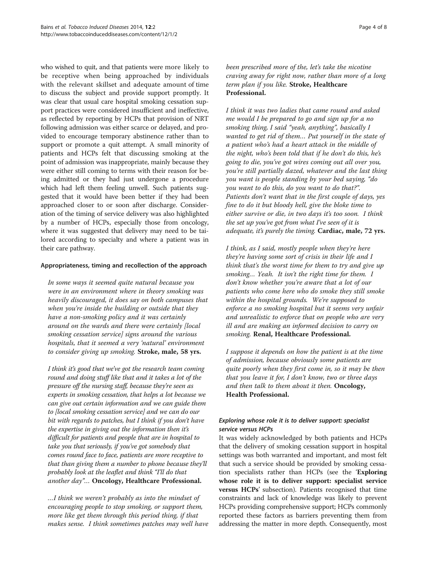who wished to quit, and that patients were more likely to be receptive when being approached by individuals with the relevant skillset and adequate amount of time to discuss the subject and provide support promptly. It was clear that usual care hospital smoking cessation support practices were considered insufficient and ineffective, as reflected by reporting by HCPs that provision of NRT following admission was either scarce or delayed, and provided to encourage temporary abstinence rather than to support or promote a quit attempt. A small minority of patients and HCPs felt that discussing smoking at the point of admission was inappropriate, mainly because they were either still coming to terms with their reason for being admitted or they had just undergone a procedure which had left them feeling unwell. Such patients suggested that it would have been better if they had been approached closer to or soon after discharge. Consideration of the timing of service delivery was also highlighted by a number of HCPs, especially those from oncology, where it was suggested that delivery may need to be tailored according to specialty and where a patient was in their care pathway.

### Appropriateness, timing and recollection of the approach

In some ways it seemed quite natural because you were in an environment where in theory smoking was heavily discouraged, it does say on both campuses that when you're inside the building or outside that they have a non-smoking policy and it was certainly around on the wards and there were certainly [local smoking cessation service] signs around the various hospitals, that it seemed a very 'natural' environment to consider giving up smoking. Stroke, male, 58 yrs.

I think it's good that we've got the research team coming round and doing stuff like that and it takes a lot of the pressure off the nursing staff, because they're seen as experts in smoking cessation, that helps a lot because we can give out certain information and we can guide them to [local smoking cessation service] and we can do our bit with regards to patches, but I think if you don't have the expertise in giving out the information then it's difficult for patients and people that are in hospital to take you that seriously, if you've got somebody that comes round face to face, patients are more receptive to that than giving them a number to phone because they'll probably look at the leaflet and think "I'll do that another day"… Oncology, Healthcare Professional.

…I think we weren't probably as into the mindset of encouraging people to stop smoking, or support them, more like get them through this period thing, if that makes sense. I think sometimes patches may well have been prescribed more of the, let's take the nicotine craving away for right now, rather than more of a long term plan if you like. Stroke, Healthcare Professional.

I think it was two ladies that came round and asked me would I be prepared to go and sign up for a no smoking thing, I said "yeah, anything", basically I wanted to get rid of them… Put yourself in the state of a patient who's had a heart attack in the middle of the night, who's been told that if he don't do this, he's going to die, you've got wires coming out all over you, you're still partially dazed, whatever and the last thing you want is people standing by your bed saying, "do you want to do this, do you want to do that?". Patients don't want that in the first couple of days, yes fine to do it but bloody hell, give the bloke time to either survive or die, in two days it's too soon. I think the set up you've got from what I've seen of it is adequate, it's purely the timing. Cardiac, male, 72 yrs.

I think, as I said, mostly people when they're here they're having some sort of crisis in their life and I think that's the worst time for them to try and give up smoking… Yeah. It isn't the right time for them. I don't know whether you're aware that a lot of our patients who come here who do smoke they still smoke within the hospital grounds. We're supposed to enforce a no smoking hospital but it seems very unfair and unrealistic to enforce that on people who are very ill and are making an informed decision to carry on smoking. Renal, Healthcare Professional.

I suppose it depends on how the patient is at the time of admission, because obviously some patients are quite poorly when they first come in, so it may be then that you leave it for, I don't know, two or three days and then talk to them about it then. Oncology, Health Professional.

# Exploring whose role it is to deliver support: specialist service versus HCPs

It was widely acknowledged by both patients and HCPs that the delivery of smoking cessation support in hospital settings was both warranted and important, and most felt that such a service should be provided by smoking cessation specialists rather than HCPs (see the 'Exploring whose role it is to deliver support: specialist service versus HCPs' subsection). Patients recognised that time constraints and lack of knowledge was likely to prevent HCPs providing comprehensive support; HCPs commonly reported these factors as barriers preventing them from addressing the matter in more depth. Consequently, most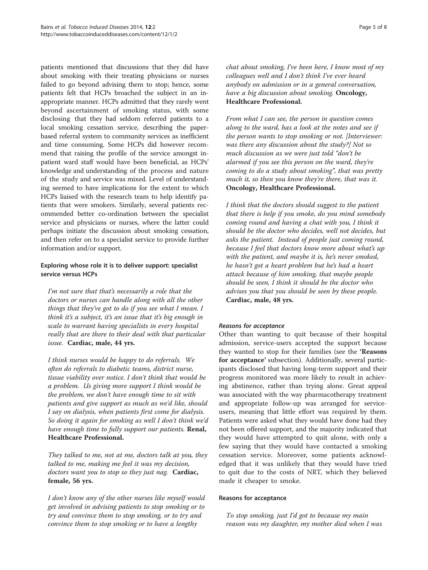patients mentioned that discussions that they did have about smoking with their treating physicians or nurses failed to go beyond advising them to stop; hence, some patients felt that HCPs broached the subject in an inappropriate manner. HCPs admitted that they rarely went beyond ascertainment of smoking status, with some disclosing that they had seldom referred patients to a local smoking cessation service, describing the paperbased referral system to community services as inefficient and time consuming. Some HCPs did however recommend that raising the profile of the service amongst inpatient ward staff would have been beneficial, as HCPs' knowledge and understanding of the process and nature of the study and service was mixed. Level of understanding seemed to have implications for the extent to which HCPs liaised with the research team to help identify patients that were smokers. Similarly, several patients recommended better co-ordination between the specialist service and physicians or nurses, where the latter could perhaps initiate the discussion about smoking cessation, and then refer on to a specialist service to provide further information and/or support.

# Exploring whose role it is to deliver support: specialist service versus HCPs

I'm not sure that that's necessarily a role that the doctors or nurses can handle along with all the other things that they've got to do if you see what I mean. I think it's a subject, it's an issue that it's big enough in scale to warrant having specialists in every hospital really that are there to their deal with that particular issue. Cardiac, male, 44 yrs.

I think nurses would be happy to do referrals. We often do referrals to diabetic teams, district nurse, tissue viability over notice. I don't think that would be a problem. Us giving more support I think would be the problem, we don't have enough time to sit with patients and give support as much as we'd like, should I say on dialysis, when patients first come for dialysis. So doing it again for smoking as well I don't think we'd have enough time to fully support our patients. **Renal**, Healthcare Professional.

They talked to me, not at me, doctors talk at you, they talked to me, making me feel it was my decision, doctors want you to stop so they just nag. **Cardiac**, female, 56 yrs.

I don't know any of the other nurses like myself would get involved in advising patients to stop smoking or to try and convince them to stop smoking, or to try and convince them to stop smoking or to have a lengthy

chat about smoking, I've been here, I know most of my colleagues well and I don't think I've ever heard anybody on admission or in a general conversation, have a big discussion about smoking. Oncology, Healthcare Professional.

From what I can see, the person in question comes along to the ward, has a look at the notes and see if the person wants to stop smoking or not. [Interviewer: was there any discussion about the study?] Not so much discussion as we were just told "don't be alarmed if you see this person on the ward, they're coming to do a study about smoking", that was pretty much it, so then you know they're there, that was it. Oncology, Healthcare Professional.

I think that the doctors should suggest to the patient that there is help if you smoke, do you mind somebody coming round and having a chat with you, I think it should be the doctor who decides, well not decides, but asks the patient. Instead of people just coming round, because I feel that doctors know more about what's up with the patient, and maybe it is, he's never smoked, he hasn't got a heart problem but he's had a heart attack because of him smoking, that maybe people should be seen, I think it should be the doctor who advises you that you should be seen by these people. Cardiac, male, 48 yrs.

#### Reasons for acceptance

Other than wanting to quit because of their hospital admission, service-users accepted the support because they wanted to stop for their families (see the 'Reasons for acceptance' subsection). Additionally, several participants disclosed that having long-term support and their progress monitored was more likely to result in achieving abstinence, rather than trying alone. Great appeal was associated with the way pharmacotherapy treatment and appropriate follow-up was arranged for serviceusers, meaning that little effort was required by them. Patients were asked what they would have done had they not been offered support, and the majority indicated that they would have attempted to quit alone, with only a few saying that they would have contacted a smoking cessation service. Moreover, some patients acknowledged that it was unlikely that they would have tried to quit due to the costs of NRT, which they believed made it cheaper to smoke.

#### Reasons for acceptance

To stop smoking, just I'd got to because my main reason was my daughter, my mother died when I was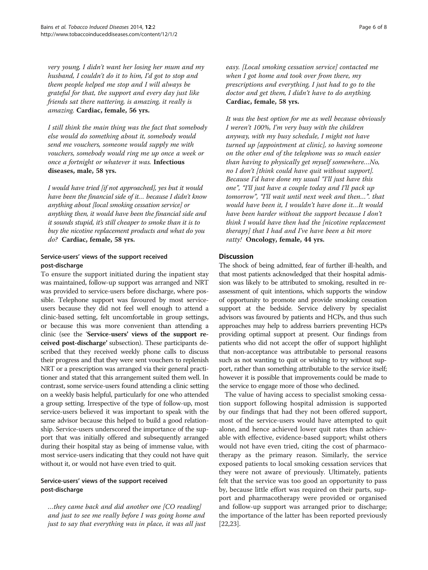very young, I didn't want her losing her mum and my husband, I couldn't do it to him, I'd got to stop and them people helped me stop and I will always be grateful for that, the support and every day just like friends sat there nattering, is amazing, it really is amazing. Cardiac, female, 56 yrs.

I still think the main thing was the fact that somebody else would do something about it, somebody would send me vouchers, someone would supply me with vouchers, somebody would ring me up once a week or once a fortnight or whatever it was. Infectious diseases, male, 58 yrs.

I would have tried [if not approached], yes but it would have been the financial side of it… because I didn't know anything about [local smoking cessation service] or anything then, it would have been the financial side and it sounds stupid, it's still cheaper to smoke than it is to buy the nicotine replacement products and what do you do? Cardiac, female, 58 yrs.

# Service-users' views of the support received post-discharge

To ensure the support initiated during the inpatient stay was maintained, follow-up support was arranged and NRT was provided to service-users before discharge, where possible. Telephone support was favoured by most serviceusers because they did not feel well enough to attend a clinic-based setting, felt uncomfortable in group settings, or because this was more convenient than attending a clinic (see the 'Service-users' views of the support received post-discharge' subsection). These participants described that they received weekly phone calls to discuss their progress and that they were sent vouchers to replenish NRT or a prescription was arranged via their general practitioner and stated that this arrangement suited them well. In contrast, some service-users found attending a clinic setting on a weekly basis helpful, particularly for one who attended a group setting. Irrespective of the type of follow-up, most service-users believed it was important to speak with the same advisor because this helped to build a good relationship. Service-users underscored the importance of the support that was initially offered and subsequently arranged during their hospital stay as being of immense value, with most service-users indicating that they could not have quit without it, or would not have even tried to quit.

# Service-users' views of the support received post-discharge

…they came back and did another one [CO reading] and just to see me really before I was going home and just to say that everything was in place, it was all just easy. [Local smoking cessation service] contacted me when I got home and took over from there, my prescriptions and everything, I just had to go to the doctor and get them, I didn't have to do anything. Cardiac, female, 58 yrs.

It was the best option for me as well because obviously I weren't 100%, I'm very busy with the children anyway, with my busy schedule, I might not have turned up [appointment at clinic], so having someone on the other end of the telephone was so much easier than having to physically get myself somewhere…No, no I don't [think could have quit without support]. Because I'd have done my usual "I'll just have this one", "I'll just have a couple today and I'll pack up tomorrow", "I'll wait until next week and then…". that would have been it, I wouldn't have done it…It would have been harder without the support because I don't think I would have then had the [nicotine replacement therapy] that I had and I've have been a bit more ratty! Oncology, female, 44 yrs.

# **Discussion**

The shock of being admitted, fear of further ill-health, and that most patients acknowledged that their hospital admission was likely to be attributed to smoking, resulted in reassessment of quit intentions, which supports the window of opportunity to promote and provide smoking cessation support at the bedside. Service delivery by specialist advisors was favoured by patients and HCPs, and thus such approaches may help to address barriers preventing HCPs providing optimal support at present. Our findings from patients who did not accept the offer of support highlight that non-acceptance was attributable to personal reasons such as not wanting to quit or wishing to try without support, rather than something attributable to the service itself; however it is possible that improvements could be made to the service to engage more of those who declined.

The value of having access to specialist smoking cessation support following hospital admission is supported by our findings that had they not been offered support, most of the service-users would have attempted to quit alone, and hence achieved lower quit rates than achievable with effective, evidence-based support; whilst others would not have even tried, citing the cost of pharmacotherapy as the primary reason. Similarly, the service exposed patients to local smoking cessation services that they were not aware of previously. Ultimately, patients felt that the service was too good an opportunity to pass by, because little effort was required on their parts, support and pharmacotherapy were provided or organised and follow-up support was arranged prior to discharge; the importance of the latter has been reported previously [[22,23\]](#page-7-0).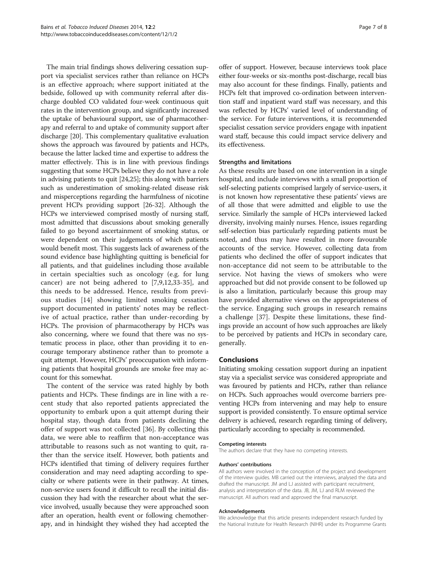The main trial findings shows delivering cessation support via specialist services rather than reliance on HCPs is an effective approach; where support initiated at the bedside, followed up with community referral after discharge doubled CO validated four-week continuous quit rates in the intervention group, and significantly increased the uptake of behavioural support, use of pharmacotherapy and referral to and uptake of community support after discharge [[20](#page-7-0)]. This complementary qualitative evaluation shows the approach was favoured by patients and HCPs, because the latter lacked time and expertise to address the matter effectively. This is in line with previous findings suggesting that some HCPs believe they do not have a role in advising patients to quit [[24,25](#page-7-0)]; this along with barriers such as underestimation of smoking-related disease risk and misperceptions regarding the harmfulness of nicotine prevent HCPs providing support [\[26-32\]](#page-7-0). Although the HCPs we interviewed comprised mostly of nursing staff, most admitted that discussions about smoking generally failed to go beyond ascertainment of smoking status, or were dependent on their judgements of which patients would benefit most. This suggests lack of awareness of the sound evidence base highlighting quitting is beneficial for all patients, and that guidelines including those available in certain specialties such as oncology (e.g. for lung cancer) are not being adhered to [[7,9](#page-7-0),[12,33-35](#page-7-0)], and this needs to be addressed. Hence, results from previous studies [[14\]](#page-7-0) showing limited smoking cessation support documented in patients' notes may be reflective of actual practice, rather than under-recording by HCPs. The provision of pharmacotherapy by HCPs was also concerning, where we found that there was no systematic process in place, other than providing it to encourage temporary abstinence rather than to promote a quit attempt. However, HCPs' preoccupation with informing patients that hospital grounds are smoke free may account for this somewhat.

The content of the service was rated highly by both patients and HCPs. These findings are in line with a recent study that also reported patients appreciated the opportunity to embark upon a quit attempt during their hospital stay, though data from patients declining the offer of support was not collected [[36\]](#page-7-0). By collecting this data, we were able to reaffirm that non-acceptance was attributable to reasons such as not wanting to quit, rather than the service itself. However, both patients and HCPs identified that timing of delivery requires further consideration and may need adapting according to specialty or where patients were in their pathway. At times, non-service users found it difficult to recall the initial discussion they had with the researcher about what the service involved, usually because they were approached soon after an operation, health event or following chemotherapy, and in hindsight they wished they had accepted the offer of support. However, because interviews took place either four-weeks or six-months post-discharge, recall bias may also account for these findings. Finally, patients and HCPs felt that improved co-ordination between intervention staff and inpatient ward staff was necessary, and this was reflected by HCPs' varied level of understanding of the service. For future interventions, it is recommended specialist cessation service providers engage with inpatient ward staff, because this could impact service delivery and its effectiveness.

#### Strengths and limitations

As these results are based on one intervention in a single hospital, and include interviews with a small proportion of self-selecting patients comprised largely of service-users, it is not known how representative these patients' views are of all those that were admitted and eligible to use the service. Similarly the sample of HCPs interviewed lacked diversity, involving mainly nurses. Hence, issues regarding self-selection bias particularly regarding patients must be noted, and thus may have resulted in more favourable accounts of the service. However, collecting data from patients who declined the offer of support indicates that non-acceptance did not seem to be attributable to the service. Not having the views of smokers who were approached but did not provide consent to be followed up is also a limitation, particularly because this group may have provided alternative views on the appropriateness of the service. Engaging such groups in research remains a challenge [\[37](#page-7-0)]. Despite these limitations, these findings provide an account of how such approaches are likely to be perceived by patients and HCPs in secondary care, generally.

#### Conclusions

Initiating smoking cessation support during an inpatient stay via a specialist service was considered appropriate and was favoured by patients and HCPs, rather than reliance on HCPs. Such approaches would overcome barriers preventing HCPs from intervening and may help to ensure support is provided consistently. To ensure optimal service delivery is achieved, research regarding timing of delivery, particularly according to specialty is recommended.

#### Competing interests

The authors declare that they have no competing interests.

#### Authors' contributions

All authors were involved in the conception of the project and development of the interview guides. MB carried out the interviews, analysed the data and drafted the manuscript. JM and LJ assisted with participant recruitment, analysis and interpretation of the data. JB, JM, LJ and RLM reviewed the manuscript. All authors read and approved the final manuscript.

#### Acknowledgements

We acknowledge that this article presents independent research funded by the National Institute for Health Research (NIHR) under its Programme Grants